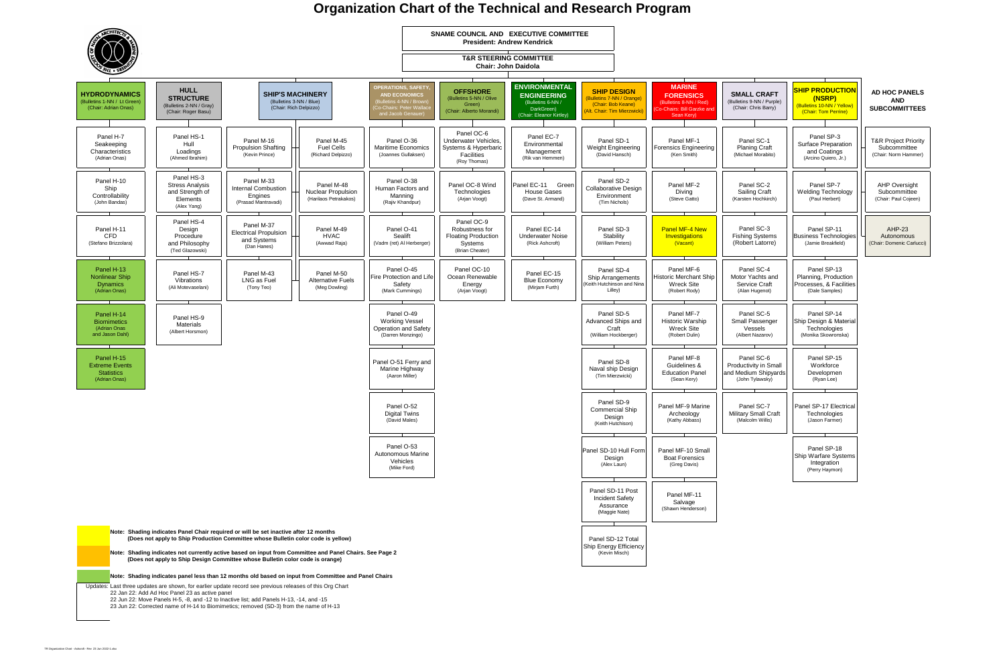## **Organization Chart of the Technical and Research Program**



|                                                      | MALL CRAFT<br>letins 9-NN / Purple)<br>Chair: Chris Barry)              | (NSRP)<br>(Chair: Tom Perrine)                            | <b>SHIP PRODUCTION</b><br>(Bulletins 10-NN / Yellow) | <b>AD HOC PANELS</b><br><b>AND</b><br>SUBCOMMITTEES                     |
|------------------------------------------------------|-------------------------------------------------------------------------|-----------------------------------------------------------|------------------------------------------------------|-------------------------------------------------------------------------|
| Panel SC-1                                           | <b>Planing Craft</b><br>Michael Morabito)                               | Panel SP-3<br>Surface Preparation<br>and Coatings         | (Arcino Quiero, Jr.)                                 | <b>T&amp;R Project Priority</b><br>Subcommittee<br>(Chair: Norm Hammer) |
|                                                      | Panel SC-2<br><b>Sailing Craft</b><br>(arsten Hochkirch)                | Panel SP-7<br>(Paul Herbert)                              | <b>Welding Technology</b>                            | <b>AHP Oversight</b><br>Subcommittee<br>(Chair: Paul Cojeen)            |
|                                                      | Panel SC-3<br>ishing Systems<br>Robert Latorre)                         | Panel SP-11                                               | <b>Business Technologies</b><br>(Jamie Breakfield)   | <b>AHP-23</b><br>Autonomous<br>(Chair: Domenic Carlucci)                |
| (Alan Hugenot)                                       | Panel SC-4<br>otor Yachts and<br>Service Craft                          | Panel SP-13<br>Processes, & Facilities<br>(Dale Samples)  | Planning, Production                                 |                                                                         |
|                                                      | Panel SC-5<br>mall Passenger<br>Vessels<br>(Albert Nazarov)             | Panel SP-14<br>Technologies<br>(Monika Skowronska)        | Ship Design & Material                               |                                                                         |
|                                                      | Panel SC-6<br>ductivity in Small<br>Medium Shipyards<br>(John Tylawsky) | Panel SP-15<br>Workforce<br>(Ryan Lee)                    | Developmen                                           |                                                                         |
| Panel SC-7<br>litary Small Craft<br>(Malcolm Willis) |                                                                         | Panel SP-17 Electrical<br>Technologies<br>(Jason Farmer)  |                                                      |                                                                         |
|                                                      |                                                                         | Panel SP-18<br><b>Ship Warfare Systems</b><br>Integration | (Perry Haymon)                                       |                                                                         |